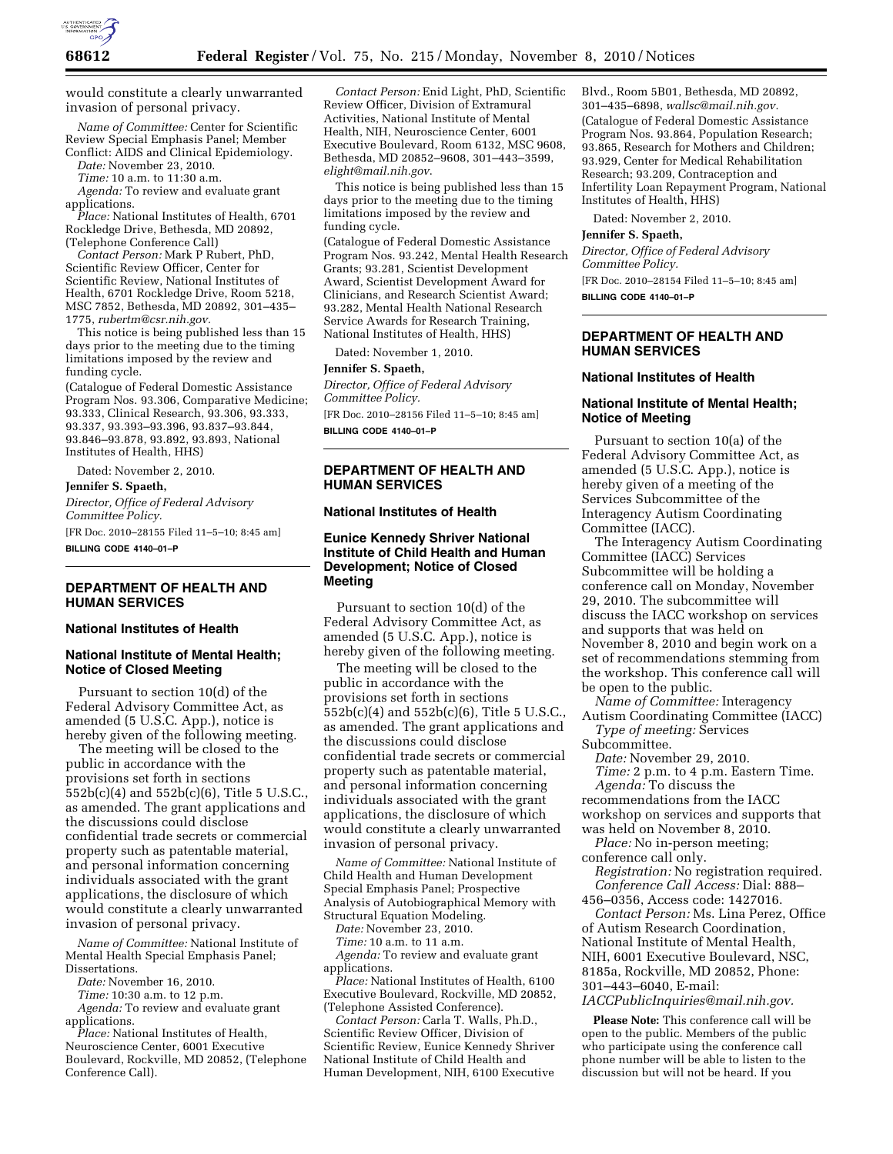

would constitute a clearly unwarranted invasion of personal privacy.

*Name of Committee:* Center for Scientific Review Special Emphasis Panel; Member Conflict: AIDS and Clinical Epidemiology.

*Date:* November 23, 2010.

*Time:* 10 a.m. to 11:30 a.m.

*Agenda:* To review and evaluate grant applications.

*Place:* National Institutes of Health, 6701 Rockledge Drive, Bethesda, MD 20892, (Telephone Conference Call)

*Contact Person:* Mark P Rubert, PhD, Scientific Review Officer, Center for Scientific Review, National Institutes of Health, 6701 Rockledge Drive, Room 5218, MSC 7852, Bethesda, MD 20892, 301–435– 1775, *[rubertm@csr.nih.gov.](mailto:rubertm@csr.nih.gov)* 

This notice is being published less than 15 days prior to the meeting due to the timing limitations imposed by the review and funding cycle.

(Catalogue of Federal Domestic Assistance Program Nos. 93.306, Comparative Medicine; 93.333, Clinical Research, 93.306, 93.333, 93.337, 93.393–93.396, 93.837–93.844, 93.846–93.878, 93.892, 93.893, National Institutes of Health, HHS)

Dated: November 2, 2010.

**Jennifer S. Spaeth,** 

*Director, Office of Federal Advisory Committee Policy.* 

[FR Doc. 2010–28155 Filed 11–5–10; 8:45 am] **BILLING CODE 4140–01–P** 

# **DEPARTMENT OF HEALTH AND HUMAN SERVICES**

#### **National Institutes of Health**

## **National Institute of Mental Health; Notice of Closed Meeting**

Pursuant to section 10(d) of the Federal Advisory Committee Act, as amended (5 U.S.C. App.), notice is hereby given of the following meeting.

The meeting will be closed to the public in accordance with the provisions set forth in sections 552b(c)(4) and 552b(c)(6), Title 5 U.S.C., as amended. The grant applications and the discussions could disclose confidential trade secrets or commercial property such as patentable material, and personal information concerning individuals associated with the grant applications, the disclosure of which would constitute a clearly unwarranted invasion of personal privacy.

*Name of Committee:* National Institute of Mental Health Special Emphasis Panel; Dissertations.

*Date:* November 16, 2010.

*Time:* 10:30 a.m. to 12 p.m.

*Agenda:* To review and evaluate grant applications.

*Place:* National Institutes of Health, Neuroscience Center, 6001 Executive Boulevard, Rockville, MD 20852, (Telephone Conference Call).

*Contact Person:* Enid Light, PhD, Scientific Review Officer, Division of Extramural Activities, National Institute of Mental Health, NIH, Neuroscience Center, 6001 Executive Boulevard, Room 6132, MSC 9608, Bethesda, MD 20852–9608, 301–443–3599, *[elight@mail.nih.gov](mailto:elight@mail.nih.gov)*.

This notice is being published less than 15 days prior to the meeting due to the timing limitations imposed by the review and funding cycle.

(Catalogue of Federal Domestic Assistance Program Nos. 93.242, Mental Health Research Grants; 93.281, Scientist Development Award, Scientist Development Award for Clinicians, and Research Scientist Award; 93.282, Mental Health National Research Service Awards for Research Training, National Institutes of Health, HHS)

Dated: November 1, 2010.

#### **Jennifer S. Spaeth,**

*Director, Office of Federal Advisory Committee Policy.* 

[FR Doc. 2010–28156 Filed 11–5–10; 8:45 am] **BILLING CODE 4140–01–P** 

## **DEPARTMENT OF HEALTH AND HUMAN SERVICES**

#### **National Institutes of Health**

## **Eunice Kennedy Shriver National Institute of Child Health and Human Development; Notice of Closed Meeting**

Pursuant to section 10(d) of the Federal Advisory Committee Act, as amended (5 U.S.C. App.), notice is hereby given of the following meeting.

The meeting will be closed to the public in accordance with the provisions set forth in sections 552b(c)(4) and 552b(c)(6), Title 5 U.S.C., as amended. The grant applications and the discussions could disclose confidential trade secrets or commercial property such as patentable material, and personal information concerning individuals associated with the grant applications, the disclosure of which would constitute a clearly unwarranted invasion of personal privacy.

*Name of Committee:* National Institute of Child Health and Human Development Special Emphasis Panel; Prospective Analysis of Autobiographical Memory with Structural Equation Modeling.

*Date:* November 23, 2010.

*Time:* 10 a.m. to 11 a.m. *Agenda:* To review and evaluate grant applications.

*Place:* National Institutes of Health, 6100 Executive Boulevard, Rockville, MD 20852, (Telephone Assisted Conference).

*Contact Person:* Carla T. Walls, Ph.D., Scientific Review Officer, Division of Scientific Review, Eunice Kennedy Shriver National Institute of Child Health and Human Development, NIH, 6100 Executive

Blvd., Room 5B01, Bethesda, MD 20892, 301–435–6898, *[wallsc@mail.nih.gov.](mailto:wallsc@mail.nih.gov)*  (Catalogue of Federal Domestic Assistance Program Nos. 93.864, Population Research; 93.865, Research for Mothers and Children; 93.929, Center for Medical Rehabilitation Research; 93.209, Contraception and Infertility Loan Repayment Program, National Institutes of Health, HHS)

Dated: November 2, 2010.

#### **Jennifer S. Spaeth,**

*Director, Office of Federal Advisory Committee Policy.* 

[FR Doc. 2010–28154 Filed 11–5–10; 8:45 am]

**BILLING CODE 4140–01–P** 

## **DEPARTMENT OF HEALTH AND HUMAN SERVICES**

#### **National Institutes of Health**

#### **National Institute of Mental Health; Notice of Meeting**

Pursuant to section 10(a) of the Federal Advisory Committee Act, as amended (5 U.S.C. App.), notice is hereby given of a meeting of the Services Subcommittee of the Interagency Autism Coordinating Committee (IACC).

The Interagency Autism Coordinating Committee (IACC) Services Subcommittee will be holding a conference call on Monday, November 29, 2010. The subcommittee will discuss the IACC workshop on services and supports that was held on November 8, 2010 and begin work on a set of recommendations stemming from the workshop. This conference call will be open to the public.

*Name of Committee:* Interagency Autism Coordinating Committee (IACC)

*Type of meeting:* Services Subcommittee.

*Date:* November 29, 2010. *Time:* 2 p.m. to 4 p.m. Eastern Time.

*Agenda:* To discuss the recommendations from the IACC workshop on services and supports that was held on November 8, 2010.

*Place:* No in-person meeting; conference call only.

*Registration:* No registration required. *Conference Call Access:* Dial: 888– 456–0356, Access code: 1427016.

*Contact Person:* Ms. Lina Perez, Office of Autism Research Coordination, National Institute of Mental Health, NIH, 6001 Executive Boulevard, NSC, 8185a, Rockville, MD 20852, Phone: 301–443–6040, E-mail: *[IACCPublicInquiries@mail.nih.gov.](mailto:IACCPublicInquiries@mail.nih.gov)* 

**Please Note:** This conference call will be open to the public. Members of the public who participate using the conference call phone number will be able to listen to the discussion but will not be heard. If you